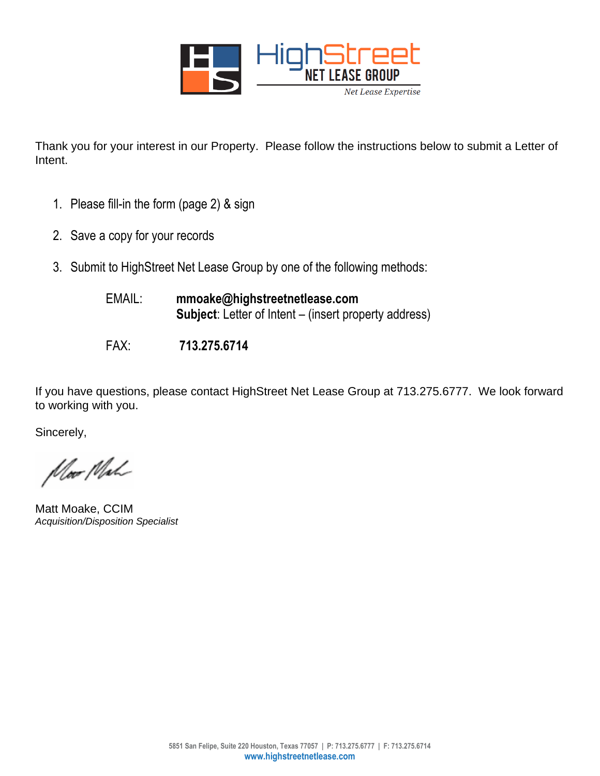

Thank you for your interest in our Property. Please follow the instructions below to submit a Letter of Intent.

- 1. Please fill-in the form (page 2) & sign
- 2. Save a copy for your records
- 3. Submit to HighStreet Net Lease Group by one of the following methods:

| EMAIL: | mmoake@highstreetnetlease.com                                |
|--------|--------------------------------------------------------------|
|        | <b>Subject:</b> Letter of Intent – (insert property address) |

FAX: **713.275.6714**

If you have questions, please contact HighStreet Net Lease Group at 713.275.6777. We look forward to working with you.

Sincerely,

Moor Mah

Matt Moake, CCIM *Acquisition/Disposition Specialist*